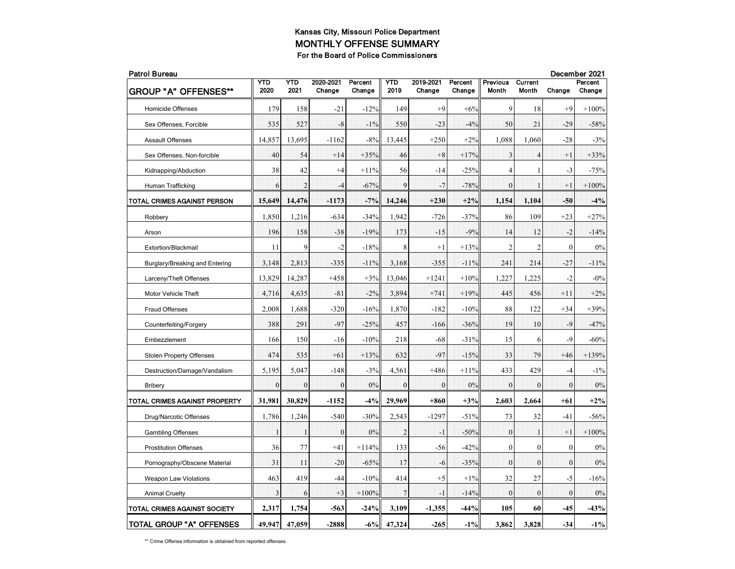| <b>Patrol Bureau</b>            |              |                  |                     |                   |                  |                     |                   |                          |                  | December 2021    |                   |  |  |
|---------------------------------|--------------|------------------|---------------------|-------------------|------------------|---------------------|-------------------|--------------------------|------------------|------------------|-------------------|--|--|
| <b>GROUP "A" OFFENSES**</b>     | YTD<br>2020  | YTD<br>2021      | 2020-2021<br>Change | Percent<br>Change | YTD<br>2019      | 2019-2021<br>Change | Percent<br>Change | <b>Previous</b><br>Month | Current<br>Month | Change           | Percent<br>Change |  |  |
| <b>Homicide Offenses</b>        | 179          | 158              | $-21$               | $-12%$            | 149              | $+9$                | $+6%$             | 9                        | 18               | $+9$             | $+100%$           |  |  |
| Sex Offenses, Forcible          | 535          | 527              | $-8$                | $-1\%$            | 550              | $-23$               | $-4%$             | 50                       | 21               | $-29$            | $-58%$            |  |  |
| <b>Assault Offenses</b>         | 14,857       | 13,695           | $-1162$             | $-8%$             | 13,445           | $+250$              | $+2%$             | 1,088                    | 1,060            | $-28$            | $-3%$             |  |  |
| Sex Offenses, Non-forcible      | 40           | 54               | $+14$               | $+35%$            | 46               | $+8$                | $+17%$            | 3                        | $\overline{4}$   | $+1$             | $+33%$            |  |  |
| Kidnapping/Abduction            | 38           | 42               | $+4$                | $+11\%$           | 56               | $-14$               | $-25%$            | $\overline{4}$           | 1                | $-3$             | $-75%$            |  |  |
| Human Trafficking               | 6            | $\overline{2}$   | $-4$                | $-67%$            | 9                | $-7$                | $-78%$            | $\theta$                 | $\mathbf{I}$     | $+1$             | $+100%$           |  |  |
| TOTAL CRIMES AGAINST PERSON     | 15,649       | 14,476           | -1173               | $-7%$             | 14,246           | $+230$              | $+2%$             | 1,154                    | 1,104            | -50              | $-4%$             |  |  |
| Robbery                         | 1,850        | 1,216            | $-634$              | $-34%$            | 1,942            | $-726$              | $-37%$            | 86                       | 109              | $+23$            | $+27%$            |  |  |
| Arson                           | 196          | 158              | $-38$               | $-19%$            | 173              | $-15$               | $-9%$             | 14                       | 12               | $-2$             | $-14%$            |  |  |
| Extortion/Blackmail             | 11           | 9                | $-2$                | $-18%$            | 8                | $+1$                | $+13%$            | $\overline{2}$           | $\overline{2}$   | $\mathbf{0}$     | 0%                |  |  |
| Burglary/Breaking and Entering  | 3,148        | 2,813            | $-335$              | $-11\%$           | 3,168            | $-355$              | $-11\%$           | 241                      | 214              | $-27$            | $-11\%$           |  |  |
| Larceny/Theft Offenses          | 13,829       | 14,287           | $+458$              | $+3%$             | 13,046           | $+1241$             | $+10%$            | 1,227                    | 1,225            | $-2$             | $-0\%$            |  |  |
| Motor Vehicle Theft             | 4,716        | 4,635            | $-81$               | $-2\%$            | 3,894            | $+741$              | $+19%$            | 445                      | 456              | $+11$            | $+2%$             |  |  |
| <b>Fraud Offenses</b>           | 2,008        | 1,688            | $-320$              | $-16%$            | 1,870            | $-182$              | $-10%$            | 88                       | 122              | $+34$            | $+39%$            |  |  |
| Counterfeiting/Forgery          | 388          | 291              | $-97$               | $-25%$            | 457              | $-166$              | $-36%$            | 19                       | 10               | -9               | $-47%$            |  |  |
| Embezzlement                    | 166          | 150              | $-16$               | $-10%$            | 218              | $-68$               | $-31%$            | 15                       | 6                | $-9$             | $-60%$            |  |  |
| <b>Stolen Property Offenses</b> | 474          | 535              | $+61$               | $+13%$            | 632              | $-97$               | $-15%$            | 33                       | 79               | $+46$            | $+139%$           |  |  |
| Destruction/Damage/Vandalism    | 5,195        | 5,047            | $-148$              | $-3%$             | 4,561            | $+486$              | $+11%$            | 433                      | 429              | $-4$             | $-1\%$            |  |  |
| Bribery                         | $\mathbf{0}$ | $\boldsymbol{0}$ | $\mathbf{0}$        | 0%                | $\boldsymbol{0}$ | $\bf{0}$            | 0%                | $\overline{0}$           | $\boldsymbol{0}$ | $\mathbf{0}$     | 0%                |  |  |
| TOTAL CRIMES AGAINST PROPERTY   | 31,981       | 30,829           | $-1152$             | $-4%$             | 29,969           | $+860$              | $+3%$             | 2,603                    | 2,664            | $+61$            | $+2%$             |  |  |
| Drug/Narcotic Offenses          | 1,786        | 1,246            | $-540$              | $-30%$            | 2,543            | $-1297$             | $-51%$            | 73                       | 32               | $-41$            | $-56%$            |  |  |
| <b>Gambling Offenses</b>        | 1            | 1                | $\mathbf{0}$        | 0%                | $\overline{2}$   | $-1$                | $-50%$            | $\mathbf{0}$             | $\mathbf{1}$     | $+1$             | $+100%$           |  |  |
| <b>Prostitution Offenses</b>    | 36           | 77               | $+41$               | $+114%$           | 133              | -56                 | $-42%$            | $\mathbf{0}$             | $\mathbf{0}$     | $\mathbf{0}$     | 0%                |  |  |
| Pornography/Obscene Material    | 31           | 11               | $-20$               | $-65%$            | 17               | $-6$                | $-35%$            | $\theta$                 | $\theta$         | $\theta$         | 0%                |  |  |
| <b>Weapon Law Violations</b>    | 463          | 419              | $-44$               | $-10%$            | 414              | $+5$                | $+1\%$            | 32                       | 27               | $-5$             | $-16%$            |  |  |
| <b>Animal Cruelty</b>           | 3            | 6                | $+3$                | $+100%$           | 7                | $-1$                | $-14%$            | $\theta$                 | $\mathbf{0}$     | $\boldsymbol{0}$ | 0%                |  |  |
| TOTAL CRIMES AGAINST SOCIETY    | 2,317        | 1,754            | $-563$              | $-24%$            | 3,109            | $-1,355$            | $-44%$            | 105                      | 60               | $-45$            | $-43%$            |  |  |
| <b>TOTAL GROUP "A" OFFENSES</b> | 49.947       | 47,059           | $-2888$             | $-6%$             | 47,324           | $-265$              | $-1\%$            | 3,862                    | 3,828            | $-34$            | $-1\%$            |  |  |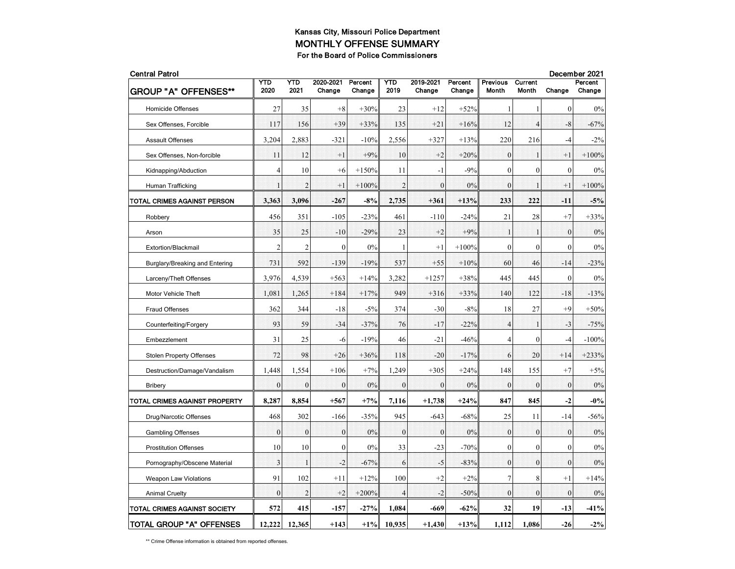| <b>Central Patrol</b>               |                |                |                     |                   |                |                     |                   |                          |                         |                | December 2021     |  |
|-------------------------------------|----------------|----------------|---------------------|-------------------|----------------|---------------------|-------------------|--------------------------|-------------------------|----------------|-------------------|--|
| <b>GROUP "A" OFFENSES**</b>         | YTD<br>2020    | YTD<br>2021    | 2020-2021<br>Change | Percent<br>Change | YTD<br>2019    | 2019-2021<br>Change | Percent<br>Change | <b>Previous</b><br>Month | Current<br><b>Month</b> | Change         | Percent<br>Change |  |
| <b>Homicide Offenses</b>            | 27             | 35             | $+8$                | $+30%$            | 23             | $+12$               | $+52%$            | $\mathbf{1}$             | 1                       | $\mathbf{0}$   | 0%                |  |
| Sex Offenses, Forcible              | 117            | 156            | $+39$               | $+33%$            | 135            | $+21$               | $+16%$            | 12                       | $\overline{4}$          | $-8$           | $-67%$            |  |
| <b>Assault Offenses</b>             | 3,204          | 2,883          | $-321$              | $-10%$            | 2,556          | $+327$              | $+13%$            | 220                      | 216                     | $-4$           | $-2\%$            |  |
| Sex Offenses, Non-forcible          | 11             | 12             | $+1$                | $+9%$             | 10             | $+2$                | $+20%$            | $\mathbf{0}$             | $\mathbf{1}$            | $+1$           | $+100%$           |  |
| Kidnapping/Abduction                | $\overline{4}$ | 10             | $+6$                | $+150%$           | 11             | $-1$                | $-9%$             | $\mathbf{0}$             | $\overline{0}$          | $\mathbf{0}$   | 0%                |  |
| Human Trafficking                   | $\mathbf{1}$   | $\overline{2}$ | $+1$                | $+100%$           | $\overline{2}$ | $\theta$            | 0%                | $\theta$                 | $\mathbf{1}$            | $+1$           | $+100%$           |  |
| TOTAL CRIMES AGAINST PERSON         | 3,363          | 3,096          | $-267$              | $-8%$             | 2,735          | $+361$              | $+13%$            | 233                      | 222                     | $-11$          | $-5%$             |  |
| Robbery                             | 456            | 351            | $-105$              | $-23%$            | 461            | $-110$              | $-24%$            | 21                       | 28                      | $+7$           | $+33%$            |  |
| Arson                               | 35             | 25             | $-10$               | $-29%$            | 23             | $+2$                | $+9%$             | $\mathbf{1}$             | 1                       | $\mathbf{0}$   | 0%                |  |
| Extortion/Blackmail                 | $\overline{2}$ | $\overline{2}$ | $\mathbf{0}$        | 0%                | 1              | $+1$                | $+100%$           | $\mathbf{0}$             | $\mathbf{0}$            | $\mathbf{0}$   | $0\%$             |  |
| Burglary/Breaking and Entering      | 731            | 592            | $-139$              | $-19%$            | 537            | $+55$               | $+10%$            | 60                       | 46                      | $-14$          | $-23%$            |  |
| Larceny/Theft Offenses              | 3,976          | 4,539          | $+563$              | $+14%$            | 3,282          | $+1257$             | $+38%$            | 445                      | 445                     | $\mathbf{0}$   | $0\%$             |  |
| Motor Vehicle Theft                 | 1,081          | 1,265          | $+184$              | $+17%$            | 949            | $+316$              | $+33%$            | 140                      | 122                     | $-18$          | $-13%$            |  |
| <b>Fraud Offenses</b>               | 362            | 344            | $-18$               | $-5%$             | 374            | $-30$               | $-8%$             | 18                       | 27                      | $+9$           | $+50%$            |  |
| Counterfeiting/Forgery              | 93             | 59             | $-34$               | $-37%$            | 76             | $-17$               | $-22%$            | $\overline{4}$           | 1                       | $-3$           | $-75%$            |  |
| Embezzlement                        | 31             | 25             | -6                  | $-19%$            | 46             | $-21$               | $-46%$            | $\overline{4}$           | $\overline{0}$          | $-4$           | $-100%$           |  |
| <b>Stolen Property Offenses</b>     | 72             | 98             | $+26$               | $+36%$            | 118            | -20                 | $-17%$            | 6                        | 20                      | $+14$          | $+233%$           |  |
| Destruction/Damage/Vandalism        | 1,448          | 1,554          | $+106$              | $+7%$             | 1,249          | $+305$              | $+24%$            | 148                      | 155                     | $+7$           | $+5%$             |  |
| <b>Bribery</b>                      | $\mathbf{0}$   | $\theta$       | $\theta$            | 0%                | $\mathbf{0}$   | $\theta$            | 0%                | $\mathbf{0}$             | $\mathbf{0}$            | $\theta$       | $0\%$             |  |
| TOTAL CRIMES AGAINST PROPERTY       | 8,287          | 8,854          | $+567$              | $+7%$             | 7,116          | $+1,738$            | $+24%$            | 847                      | 845                     | $-2$           | $-0\%$            |  |
| Drug/Narcotic Offenses              | 468            | 302            | $-166$              | $-35%$            | 945            | $-643$              | $-68%$            | 25                       | 11                      | $-14$          | $-56%$            |  |
| <b>Gambling Offenses</b>            | $\overline{0}$ | $\overline{0}$ | $\overline{0}$      | 0%                | $\overline{0}$ | $\mathbf{0}$        | 0%                | $\mathbf{0}$             | $\mathbf{0}$            | $\overline{0}$ | 0%                |  |
| <b>Prostitution Offenses</b>        | 10             | 10             | $\overline{0}$      | 0%                | 33             | $-23$               | $-70%$            | $\mathbf{0}$             | $\theta$                | $\mathbf{0}$   | 0%                |  |
| Pornography/Obscene Material        | 3              | $\mathbf{1}$   | $-2$                | $-67%$            | 6              | $-5$                | $-83%$            | $\overline{0}$           | $\mathbf{0}$            | $\mathbf{0}$   | $0\%$             |  |
| <b>Weapon Law Violations</b>        | 91             | 102            | $+11$               | $+12%$            | 100            | $+2$                | $+2%$             | $\tau$                   | 8                       | $+1$           | $+14%$            |  |
| <b>Animal Cruelty</b>               | $\overline{0}$ | $\overline{2}$ | $+2$                | $+200%$           | $\overline{4}$ | $-2$                | $-50%$            | $\mathbf{0}$             | $\mathbf{0}$            | $\mathbf{0}$   | $0\%$             |  |
| <b>TOTAL CRIMES AGAINST SOCIETY</b> | 572            | 415            | $-157$              | $-27%$            | 1,084          | -669                | $-62%$            | 32                       | 19                      | $-13$          | $-41%$            |  |
| TOTAL GROUP "A" OFFENSES            | 12,222         | 12,365         | $+143$              | $+1\%$            | 10,935         | $+1,430$            | $+13%$            | 1,112                    | 1,086                   | $-26$          | $-2\%$            |  |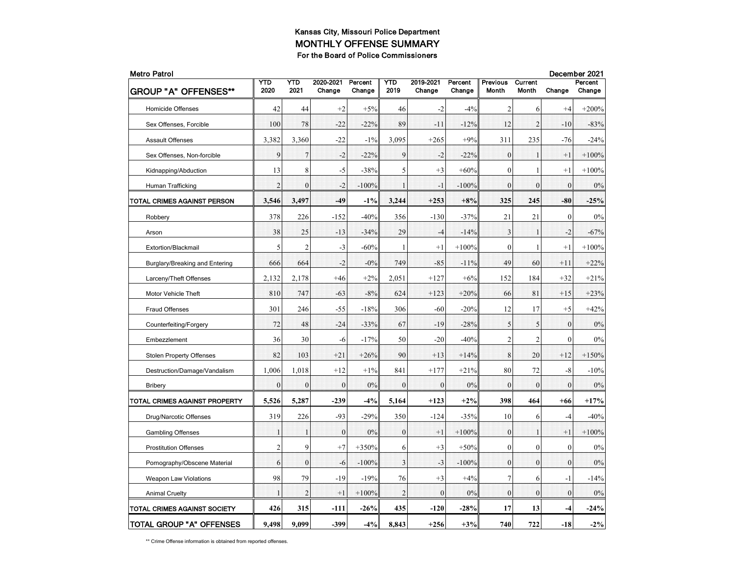| <b>Metro Patrol</b>             |                |                |                     |                   |                |                     |                   |                          |                         |                  | December 2021     |
|---------------------------------|----------------|----------------|---------------------|-------------------|----------------|---------------------|-------------------|--------------------------|-------------------------|------------------|-------------------|
| <b>GROUP "A" OFFENSES**</b>     | YTD<br>2020    | YTD<br>2021    | 2020-2021<br>Change | Percent<br>Change | YTD<br>2019    | 2019-2021<br>Change | Percent<br>Change | <b>Previous</b><br>Month | <b>Current</b><br>Month | Change           | Percent<br>Change |
| <b>Homicide Offenses</b>        | 42             | 44             | $+2$                | $+5%$             | 46             | $-2$                | $-4%$             | $\overline{2}$           | 6                       | $+4$             | $+200%$           |
| Sex Offenses, Forcible          | 100            | 78             | $-22$               | $-22%$            | 89             | $-11$               | $-12%$            | 12                       | $\overline{2}$          | $-10$            | $-83%$            |
| <b>Assault Offenses</b>         | 3,382          | 3,360          | $-22$               | $-1\%$            | 3,095          | $+265$              | $+9%$             | 311                      | 235                     | $-76$            | $-24%$            |
| Sex Offenses, Non-forcible      | 9              | $\overline{7}$ | $-2$                | $-22%$            | 9              | $-2$                | $-22%$            | $\theta$                 | $\mathbf{1}$            | $+1$             | $+100%$           |
| Kidnapping/Abduction            | 13             | 8              | $-5$                | $-38%$            | 5              | $+3$                | $+60%$            | $\mathbf{0}$             | 1                       | $+1$             | $+100%$           |
| Human Trafficking               | $\overline{2}$ | $\mathbf{0}$   | $-2$                | $-100%$           | 1              | $-1$                | $-100%$           | $\mathbf{0}$             | $\mathbf{0}$            | $\mathbf{0}$     | 0%                |
| TOTAL CRIMES AGAINST PERSON     | 3,546          | 3,497          | $-49$               | $-1\%$            | 3,244          | $+253$              | $+8%$             | 325                      | 245                     | $-80$            | $-25%$            |
| Robbery                         | 378            | 226            | $-152$              | $-40%$            | 356            | $-130$              | $-37%$            | 21                       | 21                      | $\mathbf{0}$     | 0%                |
| Arson                           | 38             | 25             | $-13$               | $-34%$            | 29             | $-4$                | $-14%$            | 3                        |                         | $-2$             | $-67%$            |
| Extortion/Blackmail             | 5              | 2              | $-3$                | $-60%$            | 1              | $+1$                | $+100%$           | $\mathbf{0}$             | 1                       | $+1$             | $+100%$           |
| Burglary/Breaking and Entering  | 666            | 664            | $-2$                | $-0%$             | 749            | $-85$               | $-11%$            | 49                       | 60                      | $+11$            | $+22%$            |
| Larceny/Theft Offenses          | 2,132          | 2,178          | $+46$               | $+2%$             | 2,051          | $+127$              | $+6%$             | 152                      | 184                     | $+32$            | $+21%$            |
| Motor Vehicle Theft             | 810            | 747            | $-63$               | $-8%$             | 624            | $+123$              | $+20%$            | 66                       | 81                      | $+15$            | $+23%$            |
| <b>Fraud Offenses</b>           | 301            | 246            | $-55$               | $-18%$            | 306            | $-60$               | $-20%$            | 12                       | 17                      | $+5$             | $+42%$            |
| Counterfeiting/Forgery          | 72             | 48             | $-24$               | $-33%$            | 67             | $-19$               | $-28%$            | 5                        | 5                       | $\mathbf{0}$     | 0%                |
| Embezzlement                    | 36             | 30             | -6                  | $-17%$            | 50             | $-20$               | $-40%$            | $\overline{2}$           | $\overline{c}$          | $\mathbf{0}$     | 0%                |
| <b>Stolen Property Offenses</b> | 82             | 103            | $+21$               | $+26%$            | 90             | $+13$               | $+14%$            | 8                        | 20                      | $+12$            | $+150%$           |
| Destruction/Damage/Vandalism    | 1,006          | 1,018          | $+12$               | $+1\%$            | 841            | $+177$              | $+21%$            | 80                       | 72                      | $-8$             | $-10%$            |
| <b>Bribery</b>                  | $\mathbf{0}$   | $\theta$       | $\theta$            | 0%                | $\mathbf{0}$   | $\mathbf{0}$        | 0%                | $\mathbf{0}$             | $\theta$                | $\theta$         | 0%                |
| TOTAL CRIMES AGAINST PROPERTY   | 5,526          | 5,287          | $-239$              | $-4%$             | 5,164          | $+123$              | $+2\%$            | 398                      | 464                     | $+66$            | $+17%$            |
| Drug/Narcotic Offenses          | 319            | 226            | $-93$               | $-29%$            | 350            | $-124$              | $-35%$            | 10                       | 6                       | $-4$             | $-40%$            |
| <b>Gambling Offenses</b>        | 1              | $\mathbf{1}$   | $\mathbf{0}$        | 0%                | $\mathbf{0}$   | $+1$                | $+100%$           | $\mathbf{0}$             | 1                       | $+1$             | $+100%$           |
| <b>Prostitution Offenses</b>    | $\overline{c}$ | 9              | $+7$                | $+350%$           | 6              | $+3$                | $+50%$            | $\mathbf{0}$             | $\mathbf{0}$            | $\mathbf{0}$     | 0%                |
| Pornography/Obscene Material    | 6              | $\theta$       | -6                  | $-100%$           | 3              | $-3$                | $-100%$           | $\theta$                 | $\mathbf{0}$            | $\theta$         | 0%                |
| <b>Weapon Law Violations</b>    | 98             | 79             | $-19$               | $-19%$            | 76             | $+3$                | $+4%$             | $\overline{7}$           | 6                       | $-1$             | $-14%$            |
| <b>Animal Cruelty</b>           | $\mathbf{1}$   | $\overline{2}$ | $+1$                | $+100%$           | $\overline{2}$ | $\boldsymbol{0}$    | 0%                | $\boldsymbol{0}$         | $\boldsymbol{0}$        | $\boldsymbol{0}$ | 0%                |
| TOTAL CRIMES AGAINST SOCIETY    | 426            | 315            | -111                | $-26%$            | 435            | $-120$              | $-28%$            | 17                       | 13                      | $-4$             | $-24%$            |
| <b>TOTAL GROUP "A" OFFENSES</b> | 9.498          | 9,099          | $-399$              | $-4%$             | 8,843          | $+256$              | $+3%$             | 740                      | 722                     | $-18$            | $-2\%$            |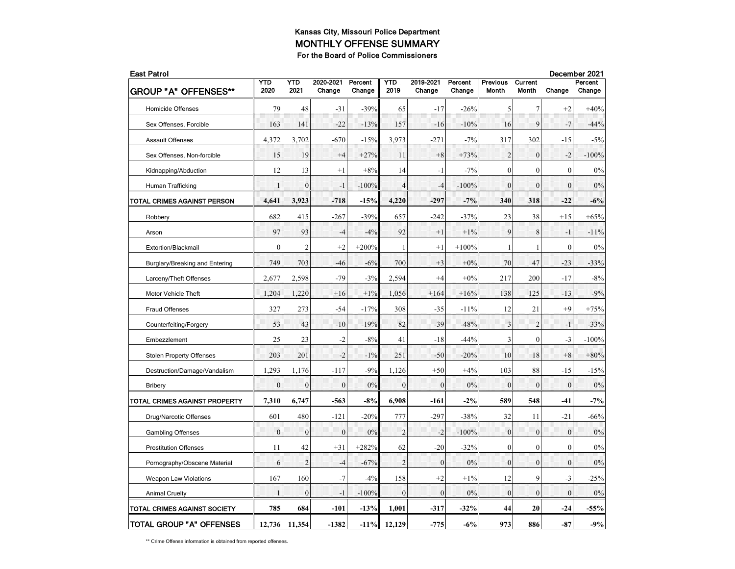| <b>East Patrol</b>                  |                |                |                     |                   |                |                     |                   |                                 |                         |                | December 2021     |  |  |
|-------------------------------------|----------------|----------------|---------------------|-------------------|----------------|---------------------|-------------------|---------------------------------|-------------------------|----------------|-------------------|--|--|
| <b>GROUP "A" OFFENSES**</b>         | YTD<br>2020    | YTD<br>2021    | 2020-2021<br>Change | Percent<br>Change | YTD<br>2019    | 2019-2021<br>Change | Percent<br>Change | <b>Previous</b><br><b>Month</b> | Current<br><b>Month</b> | Change         | Percent<br>Change |  |  |
| <b>Homicide Offenses</b>            | 79             | 48             | $-31$               | $-39%$            | 65             | $-17$               | $-26%$            | 5                               | 7                       | $+2$           | $+40%$            |  |  |
| Sex Offenses, Forcible              | 163            | 141            | $-22$               | $-13%$            | 157            | $-16$               | $-10%$            | 16                              | 9                       | $-7$           | $-44%$            |  |  |
| <b>Assault Offenses</b>             | 4,372          | 3,702          | $-670$              | $-15%$            | 3,973          | $-271$              | $-7%$             | 317                             | 302                     | $-15$          | $-5%$             |  |  |
| Sex Offenses, Non-forcible          | 15             | 19             | $+4$                | $+27%$            | -11            | $+8$                | $+73%$            | $\overline{2}$                  | $\mathbf{0}$            | $-2$           | $-100%$           |  |  |
| Kidnapping/Abduction                | 12             | 13             | $+1$                | $+8%$             | 14             | $-1$                | $-7%$             | $\mathbf{0}$                    | $\theta$                | $\mathbf{0}$   | 0%                |  |  |
| Human Trafficking                   | $\mathbf{1}$   | $\theta$       | $-1$                | $-100%$           | $\overline{4}$ | $-4$                | $-100%$           | $\theta$                        | $\theta$                | $\theta$       | 0%                |  |  |
| TOTAL CRIMES AGAINST PERSON         | 4,641          | 3,923          | $-718$              | $-15%$            | 4,220          | $-297$              | $-7%$             | 340                             | 318                     | $-22$          | $-6%$             |  |  |
| Robbery                             | 682            | 415            | $-267$              | $-39%$            | 657            | $-242$              | $-37%$            | 23                              | 38                      | $+15$          | $+65%$            |  |  |
| Arson                               | 97             | 93             | $-4$                | $-4%$             | 92             | $+1$                | $+1\%$            | 9                               | 8                       | $-1$           | $-11%$            |  |  |
| Extortion/Blackmail                 | $\mathbf{0}$   | $\overline{2}$ | $+2$                | $+200%$           | 1              | $+1$                | $+100%$           | -1                              | 1                       | $\mathbf{0}$   | $0\%$             |  |  |
| Burglary/Breaking and Entering      | 749            | 703            | $-46$               | $-6%$             | 700            | $+3$                | $+0\%$            | 70                              | 47                      | $-23$          | $-33%$            |  |  |
| Larceny/Theft Offenses              | 2,677          | 2,598          | $-79$               | $-3%$             | 2,594          | $+4$                | $+0\%$            | 217                             | 200                     | $-17$          | $-8%$             |  |  |
| Motor Vehicle Theft                 | 1,204          | 1,220          | $+16$               | $+1\%$            | 1,056          | $+164$              | $+16%$            | 138                             | 125                     | $-13$          | $-9%$             |  |  |
| <b>Fraud Offenses</b>               | 327            | 273            | $-54$               | $-17%$            | 308            | $-35$               | $-11%$            | 12                              | 21                      | $+9$           | $+75%$            |  |  |
| Counterfeiting/Forgery              | 53             | 43             | $-10$               | $-19%$            | 82             | $-39$               | $-48%$            | $\mathbf{3}$                    | $\overline{2}$          | $-1$           | $-33%$            |  |  |
| Embezzlement                        | 25             | 23             | $-2$                | $-8%$             | 41             | $-18$               | $-44%$            | $\mathfrak{Z}$                  | $\overline{0}$          | $-3$           | $-100%$           |  |  |
| <b>Stolen Property Offenses</b>     | 203            | 201            | $-2$                | $-1\%$            | 251            | $-50$               | $-20%$            | 10                              | 18                      | $+8$           | $+80%$            |  |  |
| Destruction/Damage/Vandalism        | 1,293          | 1,176          | $-117$              | $-9%$             | 1,126          | $+50$               | $+4%$             | 103                             | 88                      | $-15$          | $-15%$            |  |  |
| <b>Bribery</b>                      | $\mathbf{0}$   | $\mathbf{0}$   | $\theta$            | 0%                | $\mathbf{0}$   | $\theta$            | 0%                | $\mathbf{0}$                    | $\theta$                | $\theta$       | 0%                |  |  |
| TOTAL CRIMES AGAINST PROPERTY       | 7,310          | 6,747          | $-563$              | $-8%$             | 6,908          | $-161$              | $-2%$             | 589                             | 548                     | $-41$          | $-7%$             |  |  |
| Drug/Narcotic Offenses              | 601            | 480            | $-121$              | $-20%$            | 777            | $-297$              | $-38%$            | 32                              | 11                      | $-21$          | $-66%$            |  |  |
| <b>Gambling Offenses</b>            | $\overline{0}$ | $\mathbf{0}$   | $\overline{0}$      | 0%                | $\overline{2}$ | $-2$                | $-100%$           | $\mathbf{0}$                    | $\mathbf{0}$            | $\overline{0}$ | 0%                |  |  |
| <b>Prostitution Offenses</b>        | 11             | 42             | $+31$               | $+282%$           | 62             | $-20$               | $-32%$            | $\mathbf{0}$                    | $\theta$                | $\mathbf{0}$   | 0%                |  |  |
| Pornography/Obscene Material        | 6              | $\overline{2}$ | $-4$                | $-67%$            | $\overline{2}$ | $\mathbf{0}$        | 0%                | $\overline{0}$                  | $\mathbf{0}$            | $\mathbf{0}$   | 0%                |  |  |
| <b>Weapon Law Violations</b>        | 167            | 160            | $-7$                | $-4%$             | 158            | $+2$                | $+1%$             | 12                              | 9                       | $-3$           | $-25%$            |  |  |
| <b>Animal Cruelty</b>               | $\mathbf{1}$   | $\mathbf{0}$   | $-1$                | $-100%$           | $\overline{0}$ | $\mathbf{0}$        | 0%                | $\overline{0}$                  | $\mathbf{0}$            | $\mathbf{0}$   | 0%                |  |  |
| <b>TOTAL CRIMES AGAINST SOCIETY</b> | 785            | 684            | -101                | $-13%$            | 1,001          | $-317$              | $-32%$            | 44                              | 20                      | $-24$          | -55%              |  |  |
| TOTAL GROUP "A" OFFENSES            | 12,736         | 11,354         | $-1382$             | $-11%$            | 12,129         | $-775$              | $-6%$             | 973                             | 886                     | $-87$          | $-9%$             |  |  |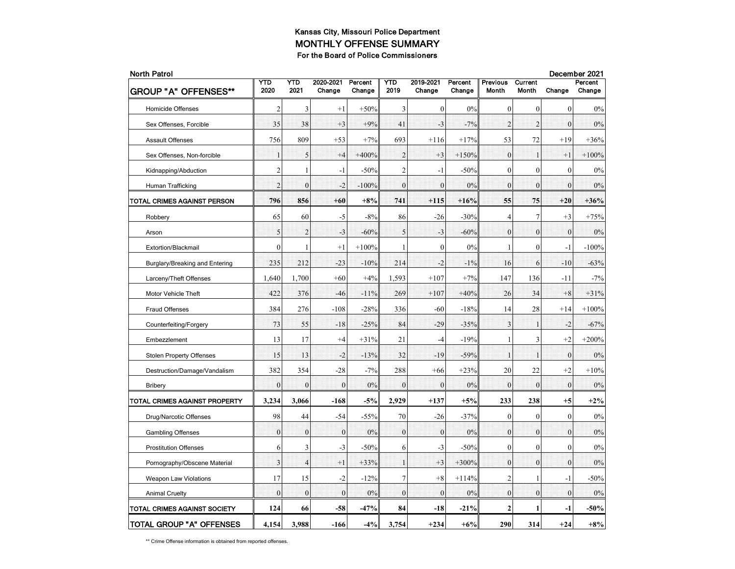| <b>North Patrol</b>                 |                |                |                     |                   |                |                     | December 2021     |                          |                  |                |                   |
|-------------------------------------|----------------|----------------|---------------------|-------------------|----------------|---------------------|-------------------|--------------------------|------------------|----------------|-------------------|
| <b>GROUP "A" OFFENSES**</b>         | YTD<br>2020    | YTD<br>2021    | 2020-2021<br>Change | Percent<br>Change | YTD<br>2019    | 2019-2021<br>Change | Percent<br>Change | <b>Previous</b><br>Month | Current<br>Month | Change         | Percent<br>Change |
| <b>Homicide Offenses</b>            | $\overline{c}$ | 3              | $^{+1}$             | $+50%$            | 3              | $\mathbf{0}$        | 0%                | $\mathbf{0}$             | $\overline{0}$   | $\mathbf{0}$   | 0%                |
| Sex Offenses, Forcible              | 35             | 38             | $+3$                | $+9%$             | 41             | $-3$                | $-7%$             | $\overline{2}$           | $\overline{2}$   | $\theta$       | 0%                |
| <b>Assault Offenses</b>             | 756            | 809            | $+53$               | $+7%$             | 693            | $+116$              | $+17%$            | 53                       | 72               | $+19$          | $+36%$            |
| Sex Offenses, Non-forcible          | $\mathbf{1}$   | 5              | $+4$                | $+400%$           | $\overline{2}$ | $+3$                | $+150%$           | $\overline{0}$           | $\mathbf{1}$     | $+1$           | $+100%$           |
| Kidnapping/Abduction                | $\overline{c}$ | 1              | $-1$                | $-50%$            | $\overline{c}$ | $-1$                | $-50%$            | $\mathbf{0}$             | $\mathbf{0}$     | $\mathbf{0}$   | $0\%$             |
| Human Trafficking                   | $\overline{2}$ | $\theta$       | $-2$                | $-100%$           | $\theta$       | $\theta$            | 0%                | $\theta$                 | $\theta$         | $\theta$       | 0%                |
| TOTAL CRIMES AGAINST PERSON         | 796            | 856            | $+60$               | $+8%$             | 741            | $+115$              | $+16%$            | 55                       | 75               | $+20$          | $+36%$            |
| Robbery                             | 65             | 60             | $-5$                | $-8%$             | 86             | $-26$               | $-30%$            | $\overline{4}$           | $\tau$           | $+3$           | $+75%$            |
| Arson                               | 5              | $\overline{2}$ | $-3$                | $-60%$            | 5              | $-3$                | $-60%$            | $\mathbf{0}$             | $\mathbf{0}$     | $\overline{0}$ | 0%                |
| Extortion/Blackmail                 | $\overline{0}$ | 1              | $+1$                | $+100%$           | 1              | $\mathbf{0}$        | 0%                | 1                        | $\overline{0}$   | $-1$           | $-100%$           |
| Burglary/Breaking and Entering      | 235            | 212            | $-23$               | $-10%$            | 214            | $-2$                | $-1\%$            | 16                       | 6                | $-10$          | $-63%$            |
| Larceny/Theft Offenses              | 1,640          | 1,700          | $+60$               | $+4%$             | 1,593          | $+107$              | $+7%$             | 147                      | 136              | -11            | $-7%$             |
| Motor Vehicle Theft                 | 422            | 376            | $-46$               | $-11%$            | 269            | $+107$              | $+40%$            | 26                       | 34               | $+8$           | $+31%$            |
| Fraud Offenses                      | 384            | 276            | $-108$              | $-28%$            | 336            | $-60$               | $-18%$            | 14                       | 28               | $+14$          | $+100%$           |
| Counterfeiting/Forgery              | 73             | 55             | $-18$               | $-25%$            | 84             | $-29$               | $-35%$            | $\overline{\mathbf{3}}$  | 1                | $-2$           | $-67%$            |
| Embezzlement                        | 13             | 17             | $+4$                | $+31%$            | 21             | $-4$                | $-19%$            | 1                        | 3                | $+2$           | $+200%$           |
| <b>Stolen Property Offenses</b>     | 15             | 13             | $-2$                | $-13%$            | 32             | $-19$               | $-59%$            | $\mathbf{1}$             | $\mathbf{1}$     | $\mathbf{0}$   | 0%                |
| Destruction/Damage/Vandalism        | 382            | 354            | $-28$               | $-7%$             | 288            | $+66$               | $+23%$            | 20                       | 22               | $+2$           | $+10%$            |
| <b>Bribery</b>                      | $\mathbf{0}$   | $\mathbf{0}$   | $\overline{0}$      | 0%                | $\mathbf{0}$   | $\mathbf{0}$        | 0%                | $\boldsymbol{0}$         | $\mathbf{0}$     | $\mathbf{0}$   | 0%                |
| TOTAL CRIMES AGAINST PROPERTY       | 3,234          | 3,066          | $-168$              | $-5%$             | 2,929          | $+137$              | $+5%$             | 233                      | 238              | $+5$           | $+2\%$            |
| Drug/Narcotic Offenses              | 98             | 44             | $-54$               | $-55%$            | 70             | $-26$               | $-37%$            | $\mathbf{0}$             | $\mathbf{0}$     | $\mathbf{0}$   | $0\%$             |
| <b>Gambling Offenses</b>            | $\theta$       | $\theta$       | $\mathbf{0}$        | 0%                | $\mathbf{0}$   | $\mathbf{0}$        | 0%                | $\theta$                 | $\theta$         | $\Omega$       | 0%                |
| <b>Prostitution Offenses</b>        | 6              | 3              | $-3$                | $-50%$            | 6              | $-3$                | $-50%$            | $\boldsymbol{0}$         | $\overline{0}$   | $\mathbf{0}$   | 0%                |
| Pornography/Obscene Material        | 3              | $\overline{4}$ | $+1$                | $+33%$            | $\mathbf{1}$   | $+3$                | $+300%$           | $\mathbf{0}$             | $\mathbf{0}$     | $\mathbf{0}$   | 0%                |
| <b>Weapon Law Violations</b>        | 17             | 15             | $-2$                | $-12%$            | $\overline{7}$ | $+8$                | $+114%$           | $\mathfrak{2}$           | 1                | $-1$           | $-50%$            |
| <b>Animal Cruelty</b>               | $\theta$       | $\overline{0}$ | $\overline{0}$      | 0%                | $\theta$       | $\theta$            | 0%                | $\overline{0}$           | $\theta$         | $\theta$       | 0%                |
| <b>TOTAL CRIMES AGAINST SOCIETY</b> | 124            | 66             | $-58$               | $-47%$            | 84             | $-18$               | $-21%$            | $\mathbf{2}$             |                  | -1             | $-50%$            |
| TOTAL GROUP "A" OFFENSES            | 4,154          | 3,988          | $-166$              | $-4\%$            | 3,754          | $+234$              | $+6%$             | 290                      | 314              | $+24$          | $+8%$             |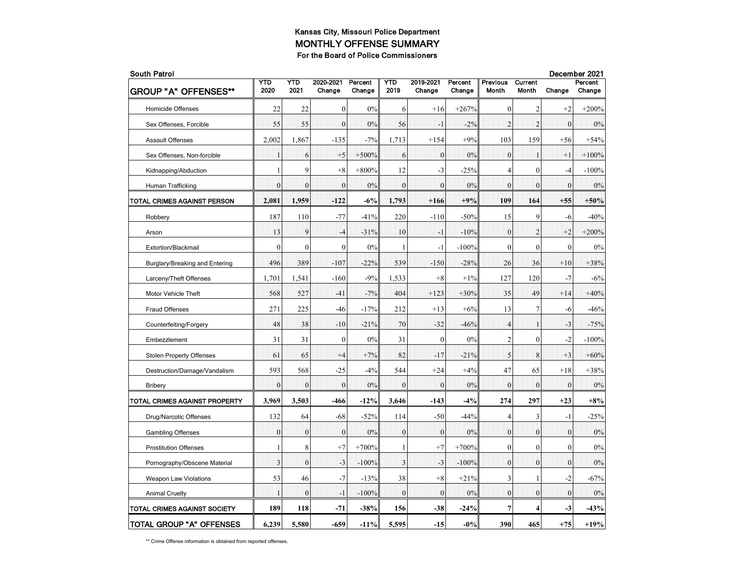| <b>South Patrol</b>             |                |              |                     |                   |                |                     |                   |                          | December 2021    |                  |                   |
|---------------------------------|----------------|--------------|---------------------|-------------------|----------------|---------------------|-------------------|--------------------------|------------------|------------------|-------------------|
| <b>GROUP "A" OFFENSES**</b>     | YTD<br>2020    | YTD<br>2021  | 2020-2021<br>Change | Percent<br>Change | YTD<br>2019    | 2019-2021<br>Change | Percent<br>Change | <b>Previous</b><br>Month | Current<br>Month | Change           | Percent<br>Change |
| <b>Homicide Offenses</b>        | 22             | 22           | $\mathbf{0}$        | 0%                | 6              | $+16$               | $+267%$           | $\mathbf{0}$             | 2                | $+2$             | $+200%$           |
| Sex Offenses, Forcible          | 55             | 55           | $\mathbf{0}$        | 0%                | 56             | $-1$                | $-2\%$            | $\overline{2}$           | $\overline{2}$   | $\theta$         | 0%                |
| <b>Assault Offenses</b>         | 2,002          | 1,867        | $-135$              | $-7%$             | 1,713          | $+154$              | $+9%$             | 103                      | 159              | $+56$            | $+54%$            |
| Sex Offenses, Non-forcible      | $\mathbf{1}$   | 6            | $+5$                | $+500%$           | 6              | $\boldsymbol{0}$    | 0%                | $\mathbf{0}$             | $\mathbf{1}$     | $+1$             | $+100%$           |
| Kidnapping/Abduction            | 1              | 9            | $+8$                | $+800%$           | 12             | $-3$                | $-25%$            | $\overline{4}$           | $\mathbf{0}$     | $-4$             | $-100%$           |
| Human Trafficking               | $\theta$       | $\theta$     | $\theta$            | 0%                | $\theta$       | $\theta$            | 0%                | $\theta$                 | $\mathbf{0}$     | $\theta$         | 0%                |
| TOTAL CRIMES AGAINST PERSON     | 2,081          | 1,959        | $-122$              | $-6%$             | 1,793          | $+166$              | $+9%$             | 109                      | 164              | $+55$            | $+50%$            |
| Robbery                         | 187            | 110          | $-77$               | $-41%$            | 220            | $-110$              | $-50%$            | 15                       | 9                | $-6$             | $-40%$            |
| Arson                           | 13             | 9            | $-4$                | $-31%$            | 10             | $-1$                | $-10%$            | $\boldsymbol{0}$         | $\overline{2}$   | $+2$             | $+200%$           |
| Extortion/Blackmail             | $\overline{0}$ | $\mathbf{0}$ | $\boldsymbol{0}$    | 0%                | 1              | $-1$                | $-100%$           | $\mathbf{0}$             | $\overline{0}$   | $\mathbf{0}$     | $0\%$             |
| Burglary/Breaking and Entering  | 496            | 389          | $-107$              | $-22%$            | 539            | $-150$              | $-28%$            | 26                       | 36               | $+10$            | $+38%$            |
| Larceny/Theft Offenses          | 1,701          | 1,541        | $-160$              | $-9%$             | 1,533          | $+8$                | $+1\%$            | 127                      | 120              | $-7$             | $-6%$             |
| Motor Vehicle Theft             | 568            | 527          | $-41$               | $-7%$             | 404            | $+123$              | $+30%$            | 35                       | 49               | $+14$            | $+40%$            |
| Fraud Offenses                  | 271            | 225          | $-46$               | $-17%$            | 212            | $+13$               | $+6%$             | 13                       | 7                | $-6$             | $-46%$            |
| Counterfeiting/Forgery          | 48             | 38           | $-10$               | $-21%$            | 70             | $-32$               | $-46%$            | $\overline{4}$           | 1                | $-3$             | $-75%$            |
| Embezzlement                    | 31             | 31           | $\boldsymbol{0}$    | 0%                | 31             | $\mathbf{0}$        | 0%                | $\mathfrak{2}$           | $\overline{0}$   | $-2$             | $-100%$           |
| <b>Stolen Property Offenses</b> | 61             | 65           | $+4$                | $+7%$             | 82             | $-17$               | $-21%$            | 5                        | 8                | $+3$             | $+60%$            |
| Destruction/Damage/Vandalism    | 593            | 568          | $-25$               | $-4%$             | 544            | $+24$               | $+4%$             | 47                       | 65               | $+18$            | $+38%$            |
| <b>Bribery</b>                  | $\mathbf{0}$   | $\mathbf{0}$ | $\overline{0}$      | 0%                | $\mathbf{0}$   | $\mathbf{0}$        | 0%                | $\mathbf{0}$             | $\mathbf{0}$     | $\mathbf{0}$     | 0%                |
| TOTAL CRIMES AGAINST PROPERTY   | 3,969          | 3,503        | $-466$              | $-12%$            | 3,646          | $-143$              | $-4%$             | 274                      | 297              | $+23$            | $+8%$             |
| Drug/Narcotic Offenses          | 132            | 64           | $-68$               | $-52%$            | 114            | $-50$               | $-44%$            | $\overline{4}$           | 3                | $-1$             | $-25%$            |
| <b>Gambling Offenses</b>        | $\overline{0}$ | $\theta$     | $\mathbf{0}$        | 0%                | $\mathbf{0}$   | $\mathbf{0}$        | 0%                | $\theta$                 | $\theta$         | $\mathbf{0}$     | 0%                |
| <b>Prostitution Offenses</b>    | $\mathbf{1}$   | 8            | $^{+7}$             | $+700%$           | 1              | $+7$                | $+700%$           | $\boldsymbol{0}$         | $\overline{0}$   | $\boldsymbol{0}$ | 0%                |
| Pornography/Obscene Material    | 3              | $\mathbf{0}$ | $-3$                | $-100%$           | 3              | $-3$                | $-100%$           | $\mathbf{0}$             | $\mathbf{0}$     | $\mathbf{0}$     | 0%                |
| <b>Weapon Law Violations</b>    | 53             | 46           | $-7$                | $-13%$            | 38             | $+8$                | $+21%$            | 3                        | 1                | $-2$             | $-67%$            |
| <b>Animal Cruelty</b>           | $\mathbf{1}$   | $\mathbf{0}$ | $-1$                | $-100%$           | $\overline{0}$ | $\theta$            | 0%                | $\mathbf{0}$             | $\theta$         | $\theta$         | 0%                |
| TOTAL CRIMES AGAINST SOCIETY    | 189            | 118          | $-71$               | $-38%$            | 156            | $-38$               | $-24%$            | $\overline{7}$           | 4                | $-3$             | $-43%$            |
| TOTAL GROUP "A" OFFENSES        | 6,239          | 5,580        | $-659$              | $-11%$            | 5,595          | $-15$               | $-0%$             | 390                      | 465              | $+75$            | $+19%$            |